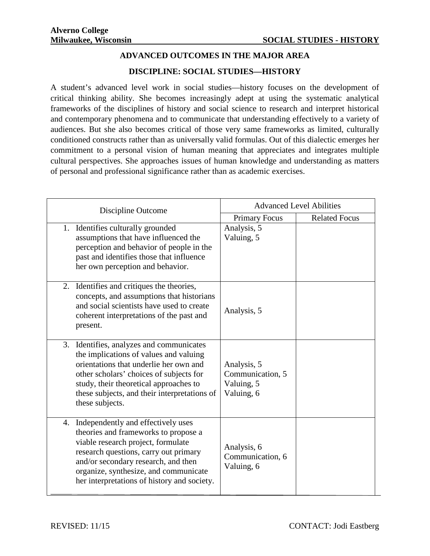## **ADVANCED OUTCOMES IN THE MAJOR AREA**

## **DISCIPLINE: SOCIAL STUDIES—HISTORY**

A student's advanced level work in social studies—history focuses on the development of critical thinking ability. She becomes increasingly adept at using the systematic analytical frameworks of the disciplines of history and social science to research and interpret historical and contemporary phenomena and to communicate that understanding effectively to a variety of audiences. But she also becomes critical of those very same frameworks as limited, culturally conditioned constructs rather than as universally valid formulas. Out of this dialectic emerges her commitment to a personal vision of human meaning that appreciates and integrates multiple cultural perspectives. She approaches issues of human knowledge and understanding as matters of personal and professional significance rather than as academic exercises.

| Discipline Outcome                                                                                                                                                                                                                                                                          |                                                             | <b>Advanced Level Abilities</b> |  |
|---------------------------------------------------------------------------------------------------------------------------------------------------------------------------------------------------------------------------------------------------------------------------------------------|-------------------------------------------------------------|---------------------------------|--|
|                                                                                                                                                                                                                                                                                             | <b>Primary Focus</b>                                        | <b>Related Focus</b>            |  |
| 1. Identifies culturally grounded<br>assumptions that have influenced the<br>perception and behavior of people in the<br>past and identifies those that influence<br>her own perception and behavior.                                                                                       | Analysis, 5<br>Valuing, 5                                   |                                 |  |
| 2. Identifies and critiques the theories,<br>concepts, and assumptions that historians<br>and social scientists have used to create<br>coherent interpretations of the past and<br>present.                                                                                                 | Analysis, 5                                                 |                                 |  |
| 3. Identifies, analyzes and communicates<br>the implications of values and valuing<br>orientations that underlie her own and<br>other scholars' choices of subjects for<br>study, their theoretical approaches to<br>these subjects, and their interpretations of<br>these subjects.        | Analysis, 5<br>Communication, 5<br>Valuing, 5<br>Valuing, 6 |                                 |  |
| 4. Independently and effectively uses<br>theories and frameworks to propose a<br>viable research project, formulate<br>research questions, carry out primary<br>and/or secondary research, and then<br>organize, synthesize, and communicate<br>her interpretations of history and society. | Analysis, 6<br>Communication, 6<br>Valuing, 6               |                                 |  |